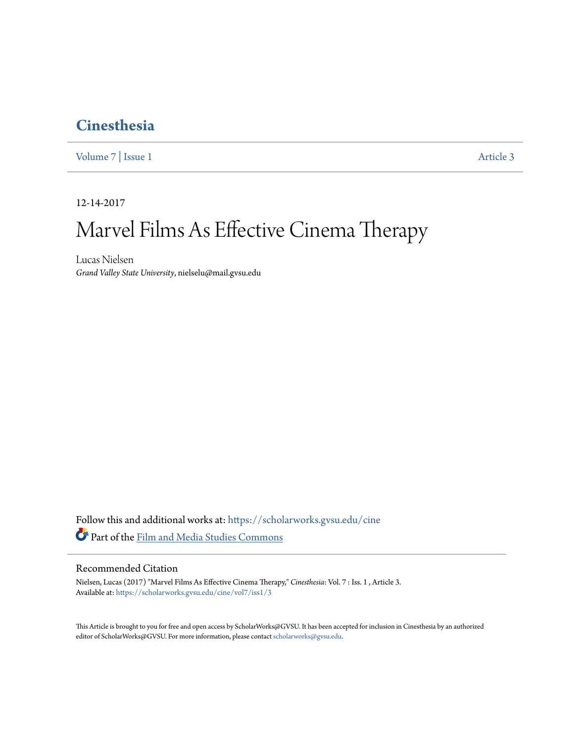# **[Cinesthesia](https://scholarworks.gvsu.edu/cine?utm_source=scholarworks.gvsu.edu%2Fcine%2Fvol7%2Fiss1%2F3&utm_medium=PDF&utm_campaign=PDFCoverPages)**

[Volume 7](https://scholarworks.gvsu.edu/cine/vol7?utm_source=scholarworks.gvsu.edu%2Fcine%2Fvol7%2Fiss1%2F3&utm_medium=PDF&utm_campaign=PDFCoverPages) | [Issue 1](https://scholarworks.gvsu.edu/cine/vol7/iss1?utm_source=scholarworks.gvsu.edu%2Fcine%2Fvol7%2Fiss1%2F3&utm_medium=PDF&utm_campaign=PDFCoverPages) [Article 3](https://scholarworks.gvsu.edu/cine/vol7/iss1/3?utm_source=scholarworks.gvsu.edu%2Fcine%2Fvol7%2Fiss1%2F3&utm_medium=PDF&utm_campaign=PDFCoverPages)

12-14-2017

# Marvel Films As Effective Cinema Therapy

Lucas Nielsen *Grand Valley State University*, nielselu@mail.gvsu.edu

Follow this and additional works at: [https://scholarworks.gvsu.edu/cine](https://scholarworks.gvsu.edu/cine?utm_source=scholarworks.gvsu.edu%2Fcine%2Fvol7%2Fiss1%2F3&utm_medium=PDF&utm_campaign=PDFCoverPages) Part of the [Film and Media Studies Commons](http://network.bepress.com/hgg/discipline/563?utm_source=scholarworks.gvsu.edu%2Fcine%2Fvol7%2Fiss1%2F3&utm_medium=PDF&utm_campaign=PDFCoverPages)

## Recommended Citation

Nielsen, Lucas (2017) "Marvel Films As Effective Cinema Therapy," *Cinesthesia*: Vol. 7 : Iss. 1 , Article 3. Available at: [https://scholarworks.gvsu.edu/cine/vol7/iss1/3](https://scholarworks.gvsu.edu/cine/vol7/iss1/3?utm_source=scholarworks.gvsu.edu%2Fcine%2Fvol7%2Fiss1%2F3&utm_medium=PDF&utm_campaign=PDFCoverPages)

This Article is brought to you for free and open access by ScholarWorks@GVSU. It has been accepted for inclusion in Cinesthesia by an authorized editor of ScholarWorks@GVSU. For more information, please contact [scholarworks@gvsu.edu.](mailto:scholarworks@gvsu.edu)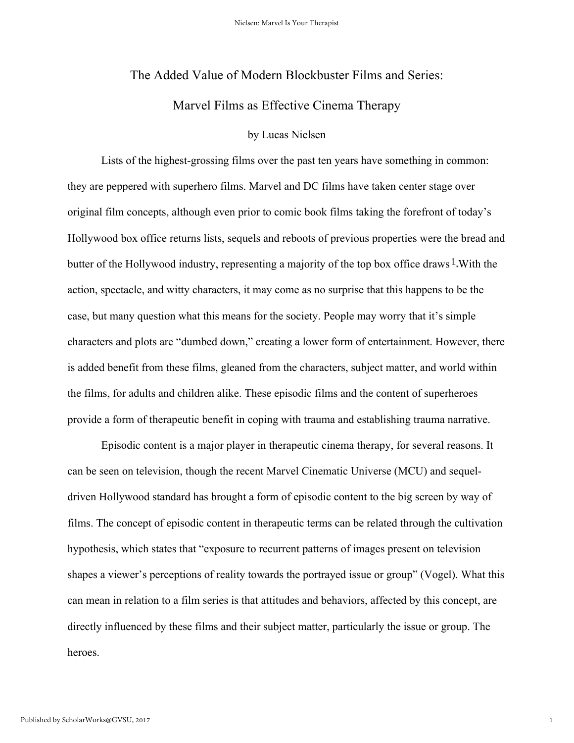#### The Added Value of Modern Blockbuster Films and Series:

## Marvel Films as Effective Cinema Therapy

#### by Lucas Nielsen

Lists of the highest-grossing films over the past ten years have something in common: they are peppered with superhero films. Marvel and DC films have taken center stage over original film concepts, although even prior to comic book films taking the forefront of today's Hollywood box office returns lists, sequels and reboots of previous properties were the bread and butter of the Hollywood industry, representing a majority of the top box office draws  $\frac{1}{2}$ . With the action, spectacle, and witty characters, it may come as no surprise that this happens to be the case, but many question what this means for the society. People may worry that it's simple characters and plots are "dumbed down," creating a lower form of entertainment. However, there is added benefit from these films, gleaned from the characters, subject matter, and world within the films, for adults and children alike. These episodic films and the content of superheroes provide a form of therapeutic benefit in coping with trauma and establishing trauma narrative.

Episodic content is a major player in therapeutic cinema therapy, for several reasons. It can be seen on television, though the recent Marvel Cinematic Universe (MCU) and sequeldriven Hollywood standard has brought a form of episodic content to the big screen by way of films. The concept of episodic content in therapeutic terms can be related through the cultivation hypothesis, which states that "exposure to recurrent patterns of images present on television shapes a viewer's perceptions of reality towards the portrayed issue or group" (Vogel). What this can mean in relation to a film series is that attitudes and behaviors, affected by this concept, are directly influenced by these films and their subject matter, particularly the issue or group. The heroes.

1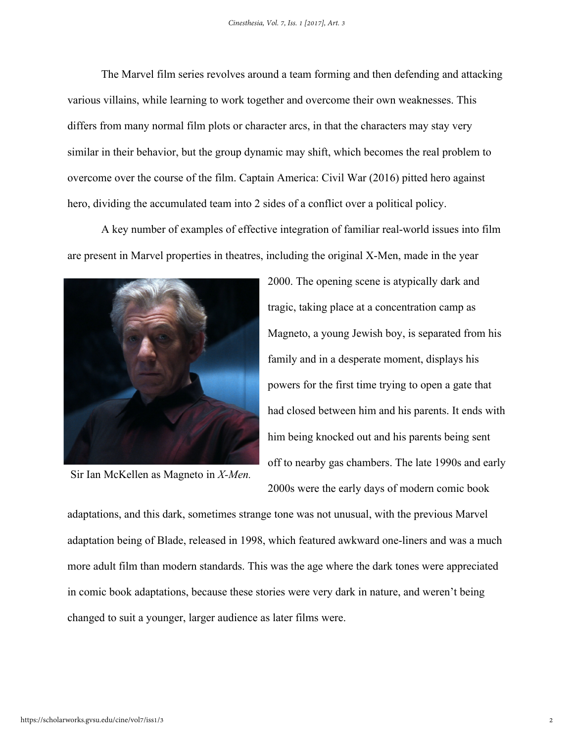The Marvel film series revolves around a team forming and then defending and attacking various villains, while learning to work together and overcome their own weaknesses. This differs from many normal film plots or character arcs, in that the characters may stay very similar in their behavior, but the group dynamic may shift, which becomes the real problem to overcome over the course of the film. Captain America: Civil War (2016) pitted hero against hero, dividing the accumulated team into 2 sides of a conflict over a political policy.

A key number of examples of effective integration of familiar real-world issues into film are present in Marvel properties in theatres, including the original X-Men, made in the year



Sir Ian McKellen as Magneto in *X-Men.*

2000. The opening scene is atypically dark and tragic, taking place at a concentration camp as Magneto, a young Jewish boy, is separated from his family and in a desperate moment, displays his powers for the first time trying to open a gate that had closed between him and his parents. It ends with him being knocked out and his parents being sent off to nearby gas chambers. The late 1990s and early 2000s were the early days of modern comic book

adaptations, and this dark, sometimes strange tone was not unusual, with the previous Marvel adaptation being of Blade, released in 1998, which featured awkward one-liners and was a much more adult film than modern standards. This was the age where the dark tones were appreciated in comic book adaptations, because these stories were very dark in nature, and weren't being changed to suit a younger, larger audience as later films were.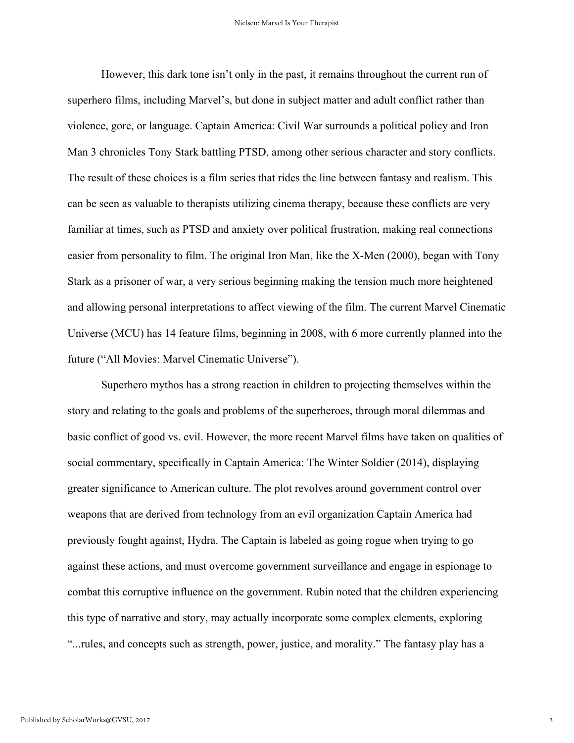However, this dark tone isn't only in the past, it remains throughout the current run of superhero films, including Marvel's, but done in subject matter and adult conflict rather than violence, gore, or language. Captain America: Civil War surrounds a political policy and Iron Man 3 chronicles Tony Stark battling PTSD, among other serious character and story conflicts. The result of these choices is a film series that rides the line between fantasy and realism. This can be seen as valuable to therapists utilizing cinema therapy, because these conflicts are very familiar at times, such as PTSD and anxiety over political frustration, making real connections easier from personality to film. The original Iron Man, like the X-Men (2000), began with Tony Stark as a prisoner of war, a very serious beginning making the tension much more heightened and allowing personal interpretations to affect viewing of the film. The current Marvel Cinematic Universe (MCU) has 14 feature films, beginning in 2008, with 6 more currently planned into the future ("All Movies: Marvel Cinematic Universe").

Superhero mythos has a strong reaction in children to projecting themselves within the story and relating to the goals and problems of the superheroes, through moral dilemmas and basic conflict of good vs. evil. However, the more recent Marvel films have taken on qualities of social commentary, specifically in Captain America: The Winter Soldier (2014), displaying greater significance to American culture. The plot revolves around government control over weapons that are derived from technology from an evil organization Captain America had previously fought against, Hydra. The Captain is labeled as going rogue when trying to go against these actions, and must overcome government surveillance and engage in espionage to combat this corruptive influence on the government. Rubin noted that the children experiencing this type of narrative and story, may actually incorporate some complex elements, exploring "...rules, and concepts such as strength, power, justice, and morality." The fantasy play has a

3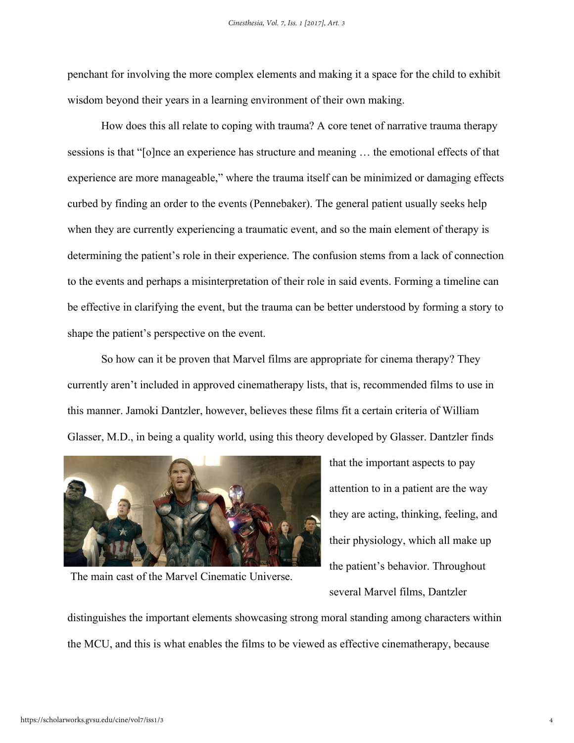penchant for involving the more complex elements and making it a space for the child to exhibit wisdom beyond their years in a learning environment of their own making.

How does this all relate to coping with trauma? A core tenet of narrative trauma therapy sessions is that "[o]nce an experience has structure and meaning … the emotional effects of that experience are more manageable," where the trauma itself can be minimized or damaging effects curbed by finding an order to the events (Pennebaker). The general patient usually seeks help when they are currently experiencing a traumatic event, and so the main element of therapy is determining the patient's role in their experience. The confusion stems from a lack of connection to the events and perhaps a misinterpretation of their role in said events. Forming a timeline can be effective in clarifying the event, but the trauma can be better understood by forming a story to shape the patient's perspective on the event.

So how can it be proven that Marvel films are appropriate for cinema therapy? They currently aren't included in approved cinematherapy lists, that is, recommended films to use in this manner. Jamoki Dantzler, however, believes these films fit a certain criteria of William Glasser, M.D., in being a quality world, using this theory developed by Glasser. Dantzler finds



The main cast of the Marvel Cinematic Universe.

that the important aspects to pay attention to in a patient are the way they are acting, thinking, feeling, and their physiology, which all make up the patient's behavior. Throughout several Marvel films, Dantzler

distinguishes the important elements showcasing strong moral standing among characters within the MCU, and this is what enables the films to be viewed as effective cinematherapy, because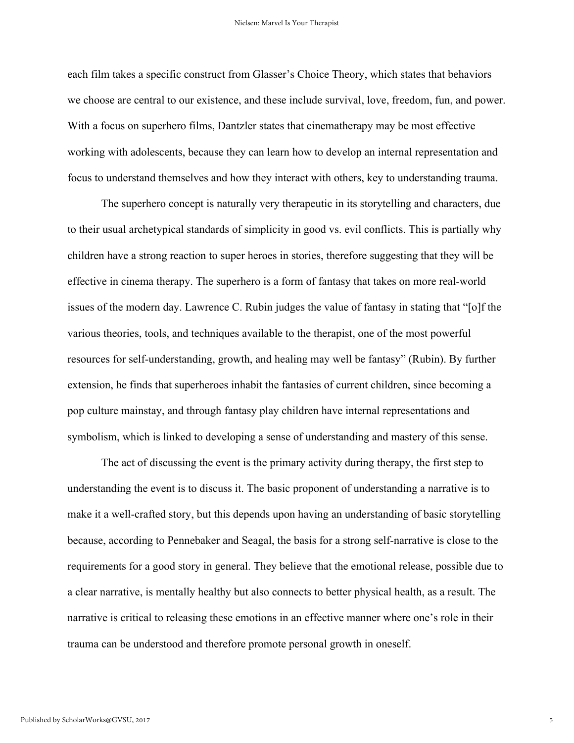each film takes a specific construct from Glasser's Choice Theory, which states that behaviors we choose are central to our existence, and these include survival, love, freedom, fun, and power. With a focus on superhero films, Dantzler states that cinematherapy may be most effective working with adolescents, because they can learn how to develop an internal representation and focus to understand themselves and how they interact with others, key to understanding trauma.

The superhero concept is naturally very therapeutic in its storytelling and characters, due to their usual archetypical standards of simplicity in good vs. evil conflicts. This is partially why children have a strong reaction to super heroes in stories, therefore suggesting that they will be effective in cinema therapy. The superhero is a form of fantasy that takes on more real-world issues of the modern day. Lawrence C. Rubin judges the value of fantasy in stating that "[o]f the various theories, tools, and techniques available to the therapist, one of the most powerful resources for self-understanding, growth, and healing may well be fantasy" (Rubin). By further extension, he finds that superheroes inhabit the fantasies of current children, since becoming a pop culture mainstay, and through fantasy play children have internal representations and symbolism, which is linked to developing a sense of understanding and mastery of this sense.

The act of discussing the event is the primary activity during therapy, the first step to understanding the event is to discuss it. The basic proponent of understanding a narrative is to make it a well-crafted story, but this depends upon having an understanding of basic storytelling because, according to Pennebaker and Seagal, the basis for a strong self-narrative is close to the requirements for a good story in general. They believe that the emotional release, possible due to a clear narrative, is mentally healthy but also connects to better physical health, as a result. The narrative is critical to releasing these emotions in an effective manner where one's role in their trauma can be understood and therefore promote personal growth in oneself.

5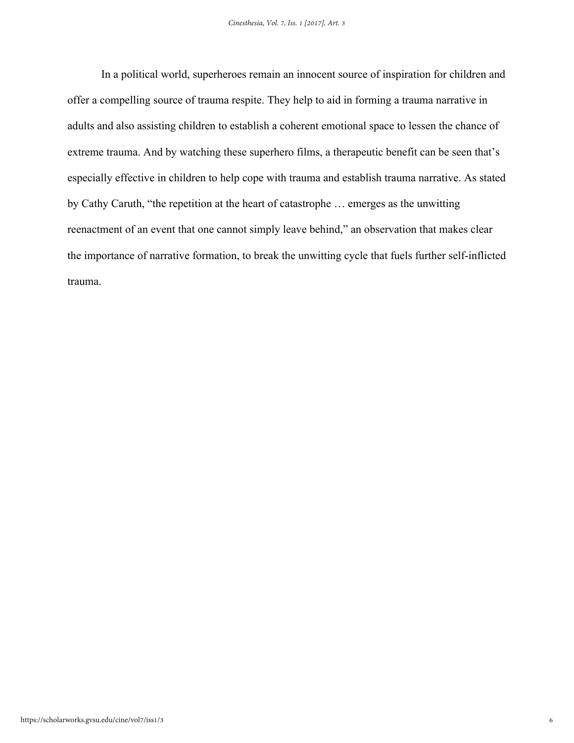In a political world, superheroes remain an innocent source of inspiration for children and offer a compelling source of trauma respite. They help to aid in forming a trauma narrative in adults and also assisting children to establish a coherent emotional space to lessen the chance of extreme trauma. And by watching these superhero films, a therapeutic benefit can be seen that's especially effective in children to help cope with trauma and establish trauma narrative. As stated by Cathy Caruth, "the repetition at the heart of catastrophe … emerges as the unwitting reenactment of an event that one cannot simply leave behind," an observation that makes clear the importance of narrative formation, to break the unwitting cycle that fuels further self-inflicted trauma.